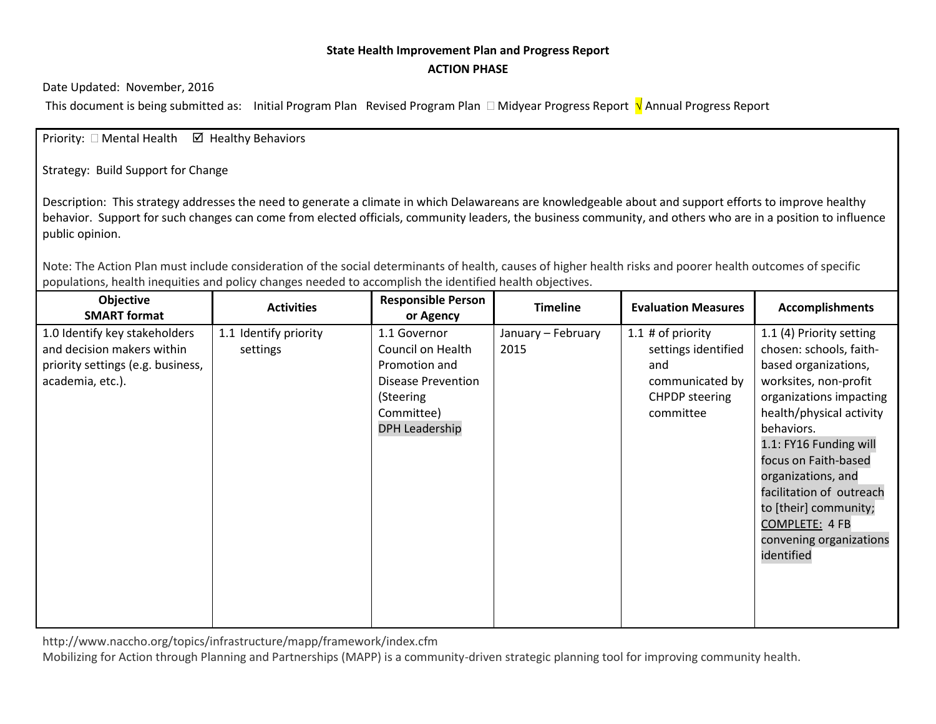## **State Health Improvement Plan and Progress Report ACTION PHASE**

Date Updated: November, 2016

This document is being submitted as: Initial Program Plan Revised Program Plan □ Midyear Progress Report √ Annual Progress Report

Priority:  $\Box$  Mental Health  $\Box$  Healthy Behaviors

Strategy: Build Support for Change

Description: This strategy addresses the need to generate a climate in which Delawareans are knowledgeable about and support efforts to improve healthy behavior. Support for such changes can come from elected officials, community leaders, the business community, and others who are in a position to influence public opinion.

Note: The Action Plan must include consideration of the social determinants of health, causes of higher health risks and poorer health outcomes of specific populations, health inequities and policy changes needed to accomplish the identified health objectives.

| Objective<br><b>SMART format</b>                                                                                     | <b>Activities</b>                 | <b>Responsible Person</b><br>or Agency                                          | <b>Timeline</b>            | <b>Evaluation Measures</b>                                           | <b>Accomplishments</b>                                                                                                                                                                                                                                           |
|----------------------------------------------------------------------------------------------------------------------|-----------------------------------|---------------------------------------------------------------------------------|----------------------------|----------------------------------------------------------------------|------------------------------------------------------------------------------------------------------------------------------------------------------------------------------------------------------------------------------------------------------------------|
| 1.0 Identify key stakeholders<br>and decision makers within<br>priority settings (e.g. business,<br>academia, etc.). | 1.1 Identify priority<br>settings | 1.1 Governor<br>Council on Health<br>Promotion and<br><b>Disease Prevention</b> | January - February<br>2015 | 1.1 $#$ of priority<br>settings identified<br>and<br>communicated by | 1.1 (4) Priority setting<br>chosen: schools, faith-<br>based organizations,<br>worksites, non-profit                                                                                                                                                             |
|                                                                                                                      |                                   | (Steering<br>Committee)<br><b>DPH Leadership</b>                                |                            | <b>CHPDP</b> steering<br>committee                                   | organizations impacting<br>health/physical activity<br>behaviors.<br>1.1: FY16 Funding will<br>focus on Faith-based<br>organizations, and<br>facilitation of outreach<br>to [their] community;<br><b>COMPLETE: 4 FB</b><br>convening organizations<br>identified |

http://www.naccho.org/topics/infrastructure/mapp/framework/index.cfm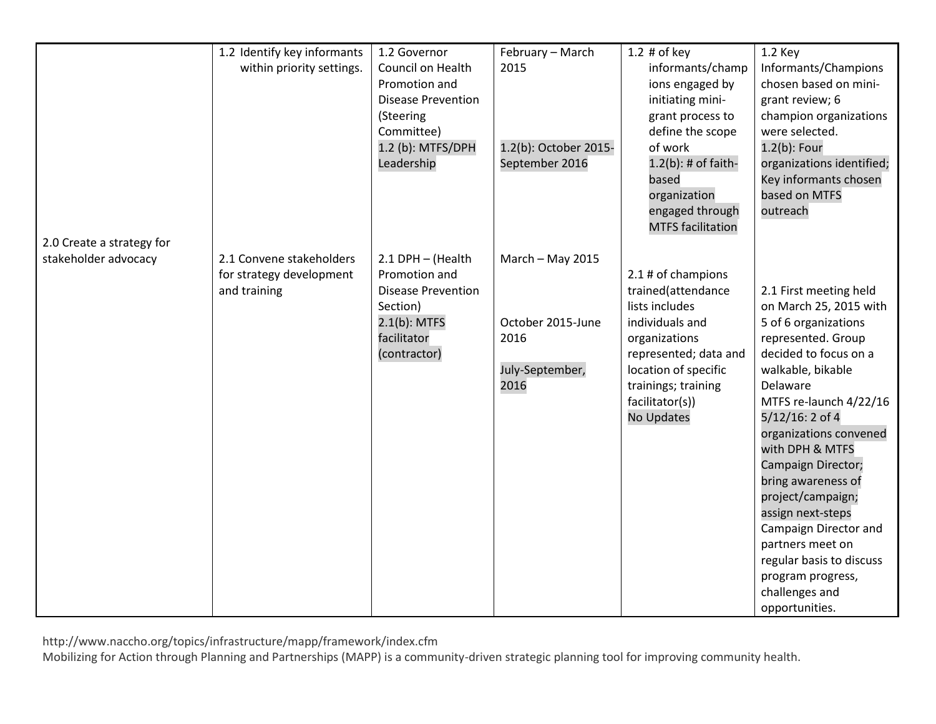|                           | 1.2 Identify key informants | 1.2 Governor              | February - March      | 1.2 $#$ of key           | 1.2 Key                   |
|---------------------------|-----------------------------|---------------------------|-----------------------|--------------------------|---------------------------|
|                           | within priority settings.   | Council on Health         | 2015                  | informants/champ         | Informants/Champions      |
|                           |                             | Promotion and             |                       | ions engaged by          | chosen based on mini-     |
|                           |                             | <b>Disease Prevention</b> |                       | initiating mini-         | grant review; 6           |
|                           |                             | (Steering                 |                       | grant process to         | champion organizations    |
|                           |                             | Committee)                |                       | define the scope         | were selected.            |
|                           |                             | 1.2 (b): MTFS/DPH         | 1.2(b): October 2015- | of work                  | 1.2(b): Four              |
|                           |                             | Leadership                | September 2016        | $1.2(b)$ : # of faith-   | organizations identified; |
|                           |                             |                           |                       | based                    | Key informants chosen     |
|                           |                             |                           |                       | organization             | based on MTFS             |
|                           |                             |                           |                       | engaged through          | outreach                  |
|                           |                             |                           |                       | <b>MTFS</b> facilitation |                           |
| 2.0 Create a strategy for |                             |                           |                       |                          |                           |
| stakeholder advocacy      | 2.1 Convene stakeholders    | 2.1 DPH - (Health         | March - May 2015      |                          |                           |
|                           | for strategy development    | Promotion and             |                       | 2.1 # of champions       |                           |
|                           | and training                | <b>Disease Prevention</b> |                       | trained(attendance       | 2.1 First meeting held    |
|                           |                             | Section)                  |                       | lists includes           | on March 25, 2015 with    |
|                           |                             | $2.1(b)$ : MTFS           | October 2015-June     | individuals and          | 5 of 6 organizations      |
|                           |                             | facilitator               | 2016                  | organizations            | represented. Group        |
|                           |                             | (contractor)              |                       | represented; data and    | decided to focus on a     |
|                           |                             |                           | July-September,       | location of specific     | walkable, bikable         |
|                           |                             |                           | 2016                  | trainings; training      | Delaware                  |
|                           |                             |                           |                       | facilitator(s))          | MTFS re-launch 4/22/16    |
|                           |                             |                           |                       | <b>No Updates</b>        | 5/12/16: 2 of 4           |
|                           |                             |                           |                       |                          | organizations convened    |
|                           |                             |                           |                       |                          | with DPH & MTFS           |
|                           |                             |                           |                       |                          | Campaign Director;        |
|                           |                             |                           |                       |                          | bring awareness of        |
|                           |                             |                           |                       |                          | project/campaign;         |
|                           |                             |                           |                       |                          | assign next-steps         |
|                           |                             |                           |                       |                          | Campaign Director and     |
|                           |                             |                           |                       |                          | partners meet on          |
|                           |                             |                           |                       |                          | regular basis to discuss  |
|                           |                             |                           |                       |                          | program progress,         |
|                           |                             |                           |                       |                          | challenges and            |
|                           |                             |                           |                       |                          | opportunities.            |

http://www.naccho.org/topics/infrastructure/mapp/framework/index.cfm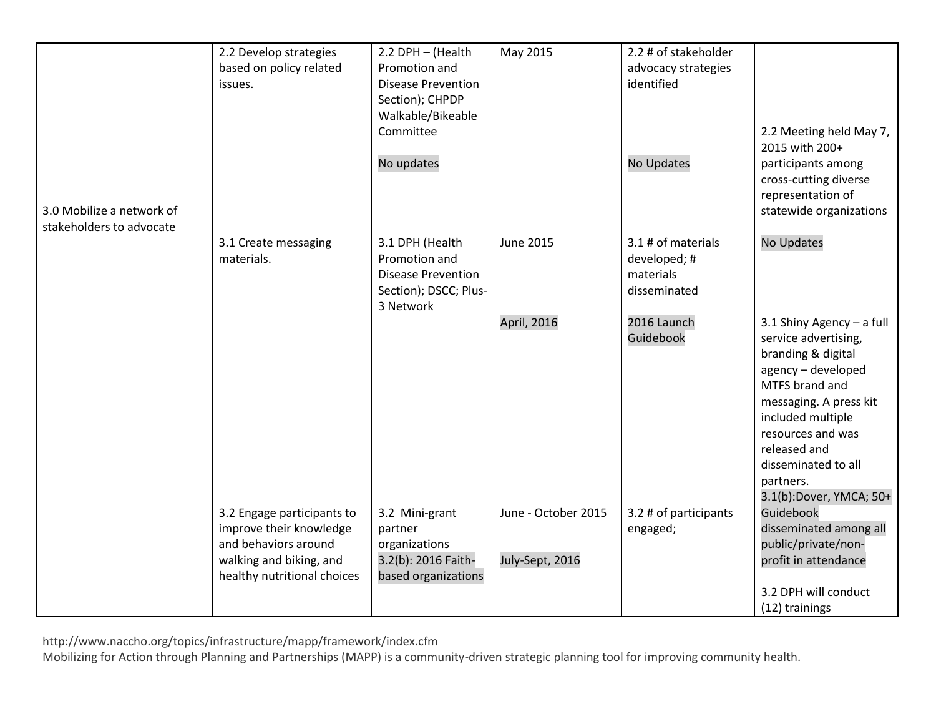|                           | 2.2 Develop strategies      | 2.2 DPH - (Health         | May 2015            | 2.2 # of stakeholder  |                             |
|---------------------------|-----------------------------|---------------------------|---------------------|-----------------------|-----------------------------|
|                           | based on policy related     | Promotion and             |                     | advocacy strategies   |                             |
|                           | issues.                     | <b>Disease Prevention</b> |                     | identified            |                             |
|                           |                             | Section); CHPDP           |                     |                       |                             |
|                           |                             | Walkable/Bikeable         |                     |                       |                             |
|                           |                             | Committee                 |                     |                       | 2.2 Meeting held May 7,     |
|                           |                             |                           |                     |                       | 2015 with 200+              |
|                           |                             | No updates                |                     | No Updates            | participants among          |
|                           |                             |                           |                     |                       |                             |
|                           |                             |                           |                     |                       | cross-cutting diverse       |
|                           |                             |                           |                     |                       | representation of           |
| 3.0 Mobilize a network of |                             |                           |                     |                       | statewide organizations     |
| stakeholders to advocate  |                             |                           |                     |                       |                             |
|                           | 3.1 Create messaging        | 3.1 DPH (Health           | <b>June 2015</b>    | 3.1 # of materials    | No Updates                  |
|                           | materials.                  | Promotion and             |                     | developed; #          |                             |
|                           |                             | <b>Disease Prevention</b> |                     | materials             |                             |
|                           |                             | Section); DSCC; Plus-     |                     | disseminated          |                             |
|                           |                             | 3 Network                 |                     |                       |                             |
|                           |                             |                           | April, 2016         | 2016 Launch           | 3.1 Shiny Agency $-$ a full |
|                           |                             |                           |                     | Guidebook             | service advertising,        |
|                           |                             |                           |                     |                       | branding & digital          |
|                           |                             |                           |                     |                       | agency - developed          |
|                           |                             |                           |                     |                       | MTFS brand and              |
|                           |                             |                           |                     |                       | messaging. A press kit      |
|                           |                             |                           |                     |                       | included multiple           |
|                           |                             |                           |                     |                       | resources and was           |
|                           |                             |                           |                     |                       | released and                |
|                           |                             |                           |                     |                       | disseminated to all         |
|                           |                             |                           |                     |                       | partners.                   |
|                           |                             |                           |                     |                       | 3.1(b):Dover, YMCA; 50+     |
|                           | 3.2 Engage participants to  | 3.2 Mini-grant            | June - October 2015 | 3.2 # of participants | Guidebook                   |
|                           | improve their knowledge     | partner                   |                     | engaged;              | disseminated among all      |
|                           | and behaviors around        | organizations             |                     |                       | public/private/non-         |
|                           | walking and biking, and     | 3.2(b): 2016 Faith-       | July-Sept, 2016     |                       | profit in attendance        |
|                           | healthy nutritional choices | based organizations       |                     |                       |                             |
|                           |                             |                           |                     |                       | 3.2 DPH will conduct        |
|                           |                             |                           |                     |                       | (12) trainings              |

http://www.naccho.org/topics/infrastructure/mapp/framework/index.cfm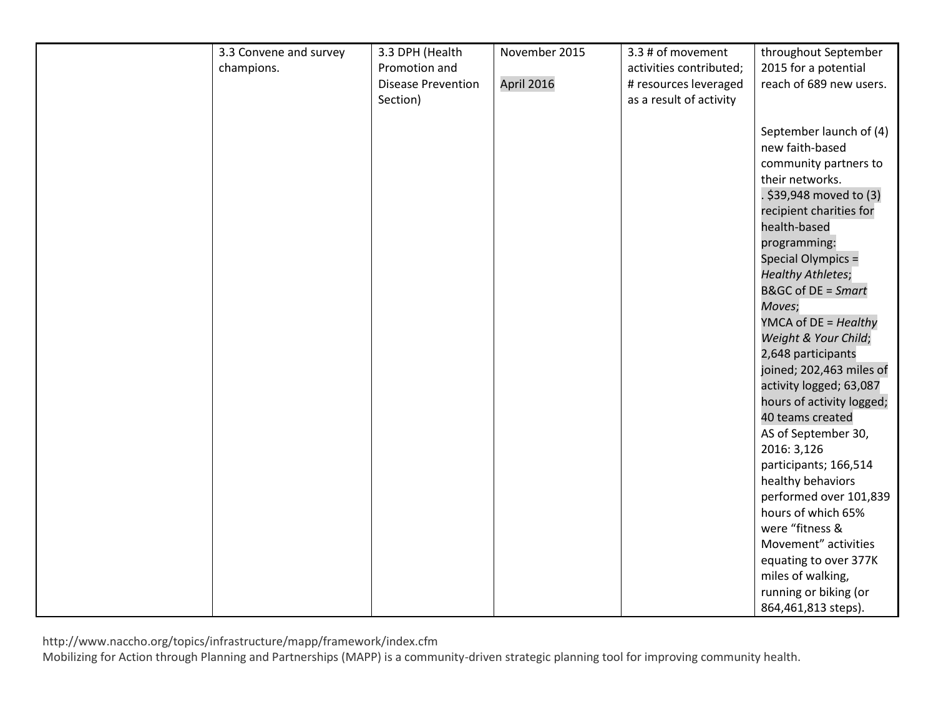| 3.3 Convene and survey | 3.3 DPH (Health           | November 2015 | 3.3 # of movement       | throughout September          |
|------------------------|---------------------------|---------------|-------------------------|-------------------------------|
| champions.             | Promotion and             |               | activities contributed; | 2015 for a potential          |
|                        | <b>Disease Prevention</b> | April 2016    | # resources leveraged   | reach of 689 new users.       |
|                        | Section)                  |               | as a result of activity |                               |
|                        |                           |               |                         |                               |
|                        |                           |               |                         | September launch of (4)       |
|                        |                           |               |                         | new faith-based               |
|                        |                           |               |                         | community partners to         |
|                        |                           |               |                         | their networks.               |
|                        |                           |               |                         | . \$39,948 moved to (3)       |
|                        |                           |               |                         | recipient charities for       |
|                        |                           |               |                         | health-based                  |
|                        |                           |               |                         | programming:                  |
|                        |                           |               |                         | Special Olympics =            |
|                        |                           |               |                         | <b>Healthy Athletes;</b>      |
|                        |                           |               |                         | <b>B&amp;GC of DE = Smart</b> |
|                        |                           |               |                         |                               |
|                        |                           |               |                         | Moves;                        |
|                        |                           |               |                         | YMCA of DE = Healthy          |
|                        |                           |               |                         | Weight & Your Child;          |
|                        |                           |               |                         | 2,648 participants            |
|                        |                           |               |                         | joined; 202,463 miles of      |
|                        |                           |               |                         | activity logged; 63,087       |
|                        |                           |               |                         | hours of activity logged;     |
|                        |                           |               |                         | 40 teams created              |
|                        |                           |               |                         | AS of September 30,           |
|                        |                           |               |                         | 2016: 3,126                   |
|                        |                           |               |                         | participants; 166,514         |
|                        |                           |               |                         | healthy behaviors             |
|                        |                           |               |                         | performed over 101,839        |
|                        |                           |               |                         | hours of which 65%            |
|                        |                           |               |                         | were "fitness &               |
|                        |                           |               |                         | Movement" activities          |
|                        |                           |               |                         | equating to over 377K         |
|                        |                           |               |                         | miles of walking,             |
|                        |                           |               |                         | running or biking (or         |
|                        |                           |               |                         | 864,461,813 steps).           |

http://www.naccho.org/topics/infrastructure/mapp/framework/index.cfm